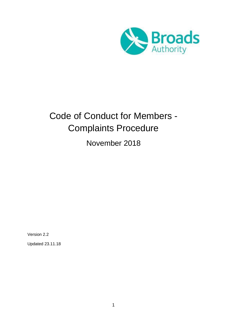

# Code of Conduct for Members - Complaints Procedure

November 2018

Version 2.2

Updated 23.11.18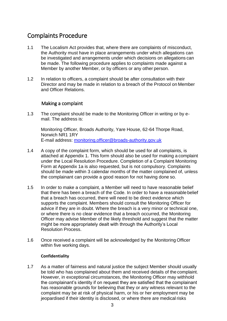# <span id="page-2-0"></span>Complaints Procedure

- 1.1 The Localism Act provides that, where there are complaints of misconduct, the Authority must have in place arrangements under which allegations can be investigated and arrangements under which decisions on allegations can be made. The following procedure applies to complaints made against a Member by another Member, or by officers or any other person.
- 1.2 In relation to officers, a complaint should be after consultation with their Director and may be made in relation to a breach of the Protocol on Member and Officer Relations.

# Making a complaint

<span id="page-2-1"></span>1.3 The complaint should be made to the Monitoring Officer in writing or by email. The address is:

Monitoring Officer, Broads Authority, Yare House, 62-64 Thorpe Road, Norwich NR1 1RY E-mail address: [monitoring.officer@broads-authority.gov.uk](mailto:monitoring.officer@broads-authority.gov.uk)

- 1.4 A copy of the complaint form, which should be used for all complaints, is attached at Appendix 1. This form should also be used for making a complaint under the Local Resolution Procedure. Completion of a Complaint Monitoring Form at Appendix 1a is also requested, but is not compulsory. Complaints should be made within 3 calendar months of the matter complained of, unless the complainant can provide a good reason for not having done so.
- 1.5 In order to make a complaint, a Member will need to have reasonable belief that there has been a breach of the Code. In order to have a reasonable belief that a breach has occurred, there will need to be direct evidence which supports the complaint. Members should consult the Monitoring Officer for advice if they are in doubt. Where the breach is a very minor or technical one, or where there is no clear evidence that a breach occurred, the Monitoring Officer may advise Member of the likely threshold and suggest that the matter might be more appropriately dealt with through the Authority's Local Resolution Process.
- 1.6 Once received a complaint will be acknowledged by the Monitoring Officer within five working days.

#### **Confidentiality**

1.7 As a matter of fairness and natural justice the subject Member should usually be told who has complained about them and received details of the complaint. However, in exceptional circumstances, the Monitoring Officer may withhold the complainant's identity if on request they are satisfied that the complainant has reasonable grounds for believing that they or any witness relevant to the complaint may be at risk of physical harm, or his or her employment may be jeopardised if their identity is disclosed, or where there are medical risks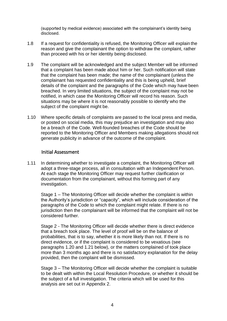(supported by medical evidence) associated with the complainant's identity being disclosed.

- 1.8 If a request for confidentiality is refused, the Monitoring Officer will explain the reason and give the complainant the option to withdraw the complaint, rather than proceed with his or her identity being disclosed.
- 1.9 The complaint will be acknowledged and the subject Member will be informed that a complaint has been made about him or her. Such notification will state that the complaint has been made; the name of the complainant (unless the complainant has requested confidentiality and this is being upheld, brief details of the complaint and the paragraphs of the Code which may have been breached. In very limited situations, the subject of the complaint may not be notified, in which case the Monitoring Officer will record his reason. Such situations may be where it is not reasonably possible to identify who the subject of the complaint might be.
- 1.10 Where specific details of complaints are passed to the local press and media, or posted on social media, this may prejudice an investigation and may also be a breach of the Code. Well-founded breaches of the Code should be reported to the Monitoring Officer and Members making allegations should not generate publicity in advance of the outcome of the complaint.

#### Initial Assessment

<span id="page-3-0"></span>1.11 In determining whether to investigate a complaint, the Monitoring Officer will adopt a three-stage process, all in consultation with an Independent Person. At each stage the Monitoring Officer may request further clarification or documentation from the complainant, without this forming part of any investigation.

Stage 1 – The Monitoring Officer will decide whether the complaint is within the Authority's jurisdiction or "capacity", which will include consideration of the paragraphs of the Code to which the complaint might relate. If there is no jurisdiction then the complainant will be informed that the complaint will not be considered further.

Stage 2 - The Monitoring Officer will decide whether there is direct evidence that a breach took place. The level of proof will be on the balance of probabilities, that is to say, whether it is more likely than not. If there is no direct evidence, or if the complaint is considered to be vexatious (see paragraphs 1.20 and 1.21 below), or the matters complained of took place more than 3 months ago and there is no satisfactory explanation for the delay provided, then the complaint will be dismissed.

Stage 3 – The Monitoring Officer will decide whether the complaint is suitable to be dealt with within the Local Resolution Procedure, or whether it should be the subject of a full investigation. The criteria which will be used for this analysis are set out in Appendix 2.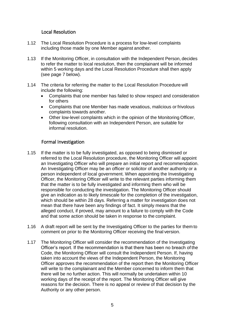# Local Resolution

- <span id="page-4-0"></span>1.12 The Local Resolution Procedure is a process for low-level complaints including those made by one Member against another.
- 1.13 If the Monitoring Officer, in consultation with the Independent Person, decides to refer the matter to local resolution, then the complainant will be informed within 5 working days and the Local Resolution Procedure shall then apply (see page 7 below).
- 1.14 The criteria for referring the matter to the Local Resolution Procedure will include the following:
	- Complaints that one member has failed to show respect and consideration for others
	- Complaints that one Member has made vexatious, malicious or frivolous complaints towards another.
	- Other low-level complaints which in the opinion of the Monitoring Officer, following consultation with an Independent Person, are suitable for informal resolution.

# Formal Investigation

- <span id="page-4-1"></span>1.15 If the matter is to be fully investigated, as opposed to being dismissed or referred to the Local Resolution procedure, the Monitoring Officer will appoint an Investigating Officer who will prepare an initial report and recommendation. An Investigating Officer may be an officer or solicitor of another authority or a person independent of local government. When appointing the Investigating Officer, the Monitoring Officer will write to the relevant parties informing them that the matter is to be fully investigated and informing them who will be responsible for conducting the investigation. The Monitoring Officer should give an indication as to likely timescale for the completion of the investigation, which should be within 28 days. Referring a matter for investigation does not mean that there have been any findings of fact. It simply means that the alleged conduct, if proved, may amount to a failure to comply with the Code and that some action should be taken in response to the complaint.
- 1.16 A draft report will be sent by the Investigating Officer to the parties for them to comment on prior to the Monitoring Officer receiving the final version.
- 1.17 The Monitoring Officer will consider the recommendation of the Investigating Officer's report. If the recommendation is that there has been no breach of the Code, the Monitoring Officer will consult the Independent Person. If, having taken into account the views of the Independent Person, the Monitoring Officer approves the recommendation of the report then the Monitoring Officer will write to the complainant and the Member concerned to inform them that there will be no further action. This will normally be undertaken within 10 working days of the receipt of the report. The Monitoring Officer will give reasons for the decision. There is no appeal or review of that decision by the Authority or any other person.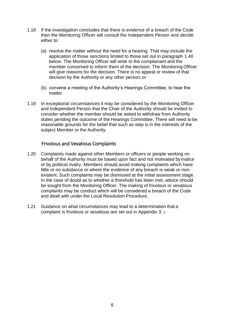- 1.18 If the investigation concludes that there is evidence of a breach of the Code then the Monitoring Officer will consult the Independent Person and decide either to:
	- (a) resolve the matter without the need for a hearing. That may include the application of those sanctions limited to those set out in paragraph 1.40 below. The Monitoring Officer will write to the complainant and the member concerned to inform them of the decision. The Monitoring Officer will give reasons for the decision. There is no appeal or review of that decision by the Authority or any other person; or
	- (b) convene a meeting of the Authority's Hearings Committee, to hear the matter.
- 1.19 In exceptional circumstances it may be considered by the Monitoring Officer and Independent Person that the Chair of the Authority should be invited to consider whether the member should be asked to withdraw from Authority duties pending the outcome of the Hearings Committee. There will need to be reasonable grounds for the belief that such as step is in the interests of the subject Member or the Authority.

# Frivolous and Vexatious Complaints

- <span id="page-5-0"></span>1.20 Complaints made against other Members or officers or people working on behalf of the Authority must be based upon fact and not motivated bymalice or by political rivalry. Members should avoid making complaints which have little or no substance or where the evidence of any breach is weak or nonexistent. Such complaints may be dismissed at the initial assessment stage. In the case of doubt as to whether a threshold has been met, advice should be sought from the Monitoring Officer. The making of frivolous or vexatious complaints may be conduct which will be considered a breach of the Code and dealt with under the Local Resolution Procedure.
- 1.21 Guidance on what circumstances may lead to a determination that a complaint is frivolous or vexatious are set out in Appendix 3. 3.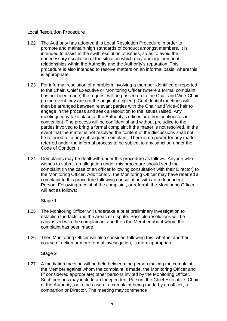# <span id="page-6-0"></span>Local Resolution Procedure

- 1.22 The Authority has adopted this Local Resolution Procedure in order to promote and maintain high standards of conduct amongst members. It is intended to assist in the swift resolution of issues, so as to avoid the unnecessary escalation of the situation which may damage personal relationships within the Authority and the Authority's reputation. This procedure is also intended to resolve matters on an informal basis, where this is appropriate.
- 1.23 For informal resolution of a problem involving a member identified or reported to the Chair, Chief Executive or Monitoring Officer (where a formal complaint has not been made) the request will be passed on to the Chair and Vice-Chair (in the event they are not the original recipient). Confidential meetings will then be arranged between relevant parties with the Chair and Vice-Chair to engage in the process and seek a resolution to the issues raised. Any meetings may take place at the Authority's offices or other locations as is convenient. The process will be confidential and without prejudice to the parties involved to bring a formal complaint if the matter is not resolved. In the event that the matter is not resolved the content of the discussions shall not be referred to in any subsequent complaint. There is no power for any matter referred under the informal process to be subject to any sanction under the Code of Conduct. 3.
- 1.24 Complaints may be dealt with under this procedure as follows. Anyone who wishes to submit an allegation under this procedure should send the complaint (in the case of an officer following consultation with their Director) to the Monitoring Officer. Additionally, the Monitoring Officer may have referred a complaint to this procedure following consultation with an Independent Person. Following receipt of the complaint, or referral, the Monitoring Officer will act as follows:

Stage 1

- 1.25 The Monitoring Officer will undertake a brief preliminary investigation to establish the facts and the areas of dispute. Possible resolutions will be canvassed with the complainant and then the Member about whom the complaint has been made.
- 1.26 Then Monitoring Officer will also consider, following this, whether another course of action or more formal investigation, is more appropriate.

Stage 2

1.27 A mediation meeting will be held between the person making the complaint, the Member against whom the complaint is made, the Monitoring Officer and (if considered appropriate) other persons invited by the Monitoring Officer. Such persons may include an Independent Person, the Chief Executive, Chair of the Authority, or in the case of a complaint being made by an officer, a companion or Director. The meeting may commence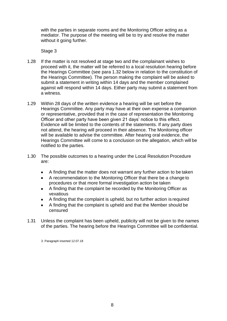with the parties in separate rooms and the Monitoring Officer acting as a mediator. The purpose of the meeting will be to try and resolve the matter without it going further.

Stage 3

- 1.28 If the matter is not resolved at stage two and the complainant wishes to proceed with it, the matter will be referred to a local resolution hearing before the Hearings Committee (see para 1.32 below in relation to the constitution of the Hearings Committee). The person making the complaint will be asked to submit a statement in writing within 14 days and the member complained against will respond within 14 days. Either party may submit a statement from a witness.
- 1.29 Within 28 days of the written evidence a hearing will be set before the Hearings Committee. Any party may have at their own expense a companion or representative, provided that in the case of representation the Monitoring Officer and other party have been given 21 days' notice to this effect. Evidence will be limited to the contents of the statements. If any party does not attend, the hearing will proceed in their absence. The Monitoring officer will be available to advise the committee. After hearing oral evidence, the Hearings Committee will come to a conclusion on the allegation, which will be notified to the parties.
- 1.30 The possible outcomes to a hearing under the Local Resolution Procedure are:
	- A finding that the matter does not warrant any further action to be taken
	- A recommendation to the Monitoring Officer that there be a change to procedures or that more formal investigation action be taken
	- A finding that the complaint be recorded by the Monitoring Officer as vexatious
	- A finding that the complaint is upheld, but no further action is required
	- A finding that the complaint is upheld and that the Member should be censured
- 1.31 Unless the complaint has been upheld, publicity will not be given to the names of the parties. The hearing before the Hearings Committee will be confidential.

<sup>3.</sup> Paragraph inserted 12.07.18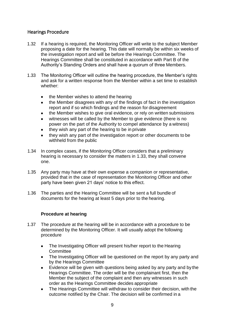# <span id="page-8-0"></span>Hearings Procedure

- 1.32 If a hearing is required, the Monitoring Officer will write to the subject Member proposing a date for the hearing. This date will normally be within six weeks of the investigation report and will be before the Hearings Committee. The Hearings Committee shall be constituted in accordance with Part B of the Authority's Standing Orders and shall have a quorum of three Members.
- 1.33 The Monitoring Officer will outline the hearing procedure, the Member's rights and ask for a written response from the Member within a set time to establish whether:
	- the Member wishes to attend the hearing
	- the Member disagrees with any of the findings of fact in the investigation report and if so which findings and the reason for disagreement
	- the Member wishes to give oral evidence, or rely on written submissions
	- witnesses will be called by the Member to give evidence (there is no power on the part of the Authority to compel attendance by a witness)
	- they wish any part of the hearing to be in private
	- they wish any part of the investigation report or other documents to be withheld from the public
- 1.34 In complex cases, if the Monitoring Officer considers that a preliminary hearing is necessary to consider the matters in 1.33, they shall convene one.
- 1.35 Any party may have at their own expense a companion or representative, provided that in the case of representation the Monitoring Officer and other party have been given 21 days' notice to this effect.
- 1.36 The parties and the Hearing Committee will be sent a full bundle of documents for the hearing at least 5 days prior to the hearing.

# **Procedure at hearing**

- 1.37 The procedure at the hearing will be in accordance with a procedure to be determined by the Monitoring Officer. It will usually adopt the following procedure
	- The Investigating Officer will present his/her report to the Hearing **Committee**
	- The Investigating Officer will be questioned on the report by any party and by the Hearings Committee
	- Evidence will be given with questions being asked by any party and by the Hearings Committee. The order will be the complainant first, then the Member the subject of the complaint and then any witnesses in such order as the Hearings Committee decides appropriate
	- The Hearings Committee will withdraw to consider their decision, with the outcome notified by the Chair. The decision will be confirmed in a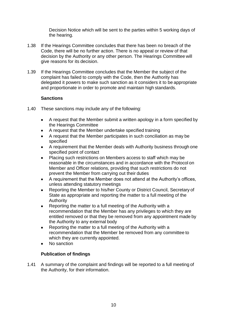Decision Notice which will be sent to the parties within 5 working days of the hearing.

- 1.38 If the Hearings Committee concludes that there has been no breach of the Code, there will be no further action. There is no appeal or review of that decision by the Authority or any other person. The Hearings Committee will give reasons for its decision.
- 1.39 If the Hearings Committee concludes that the Member the subject of the complaint has failed to comply with the Code, then the Authority has delegated it powers to make such sanction as it considers it to be appropriate and proportionate in order to promote and maintain high standards.

# **Sanctions**

- 1.40 These sanctions may include any of the following:
	- A request that the Member submit a written apology in a form specified by the Hearings Committee
	- A request that the Member undertake specified training
	- A request that the Member participates in such conciliation as may be specified
	- A requirement that the Member deals with Authority business through one specified point of contact
	- Placing such restrictions on Members access to staff which may be reasonable in the circumstances and in accordance with the Protocol on Member and Officer relations, providing that such restrictions do not prevent the Member from carrying out their duties
	- A requirement that the Member does not attend at the Authority's offices, unless attending statutory meetings
	- Reporting the Member to his/her County or District Council, Secretary of State as appropriate and reporting the matter to a full meeting of the Authority
	- Reporting the matter to a full meeting of the Authority with a recommendation that the Member has any privileges to which they are entitled removed or that they be removed from any appointment made by the Authority to any external body
	- Reporting the matter to a full meeting of the Authority with a recommendation that the Member be removed from any committee to which they are currently appointed.
	- No sanction

# **Publication of findings**

1.41 A summary of the complaint and findings will be reported to a full meeting of the Authority, for their information.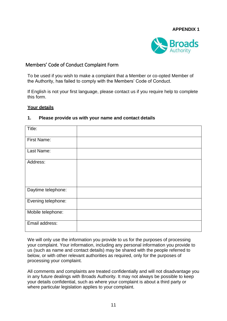

# <span id="page-10-0"></span>Members' Code of Conduct Complaint Form

To be used if you wish to make a complaint that a Member or co-opted Member of the Authority, has failed to comply with the Members' Code of Conduct.

If English is not your first language, please contact us if you require help to complete this form.

#### **Your details**

| Title:             |  |
|--------------------|--|
| <b>First Name:</b> |  |
| Last Name:         |  |
| Address:           |  |
| Daytime telephone: |  |
| Evening telephone: |  |
| Mobile telephone:  |  |
| Email address:     |  |

#### **1. Please provide us with your name and contact details**

We will only use the information you provide to us for the purposes of processing your complaint. Your information, including any personal information you provide to us (such as name and contact details) may be shared with the people referred to below, or with other relevant authorities as required, only for the purposes of processing your complaint.

All comments and complaints are treated confidentially and will not disadvantage you in any future dealings with Broads Authority. It may not always be possible to keep your details confidential, such as where your complaint is about a third party or where particular legislation applies to your complaint.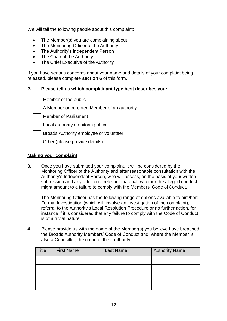We will tell the following people about this complaint:

- The Member(s) you are complaining about
- The Monitoring Officer to the Authority
- The Authority's Independent Person
- The Chair of the Authority
- The Chief Executive of the Authority

If you have serious concerns about your name and details of your complaint being released, please complete **section 6** of this form.

#### **2. Please tell us which complainant type best describes you:**

| Member of the public                        |
|---------------------------------------------|
| A Member or co-opted Member of an authority |
| <b>Member of Parliament</b>                 |
| Local authority monitoring officer          |
| Broads Authority employee or volunteer      |
| Other (please provide details)              |
|                                             |

#### **Making your complaint**

**3.** Once you have submitted your complaint, it will be considered by the Monitoring Officer of the Authority and after reasonable consultation with the Authority's Independent Person, who will assess, on the basis of your written submission and any additional relevant material, whether the alleged conduct might amount to a failure to comply with the Members' Code of Conduct.

The Monitoring Officer has the following range of options available to him/her: Formal Investigation (which will involve an investigation of the complaint), referral to the Authority's Local Resolution Procedure or no further action, for instance if it is considered that any failure to comply with the Code of Conduct is of a trivial nature.

**4.** Please provide us with the name of the Member(s) you believe have breached the Broads Authority Members' Code of Conduct and, where the Member is also a Councillor, the name of their authority.

| <b>Title</b> | <b>First Name</b> | <b>Last Name</b> | <b>Authority Name</b> |
|--------------|-------------------|------------------|-----------------------|
|              |                   |                  |                       |
|              |                   |                  |                       |
|              |                   |                  |                       |
|              |                   |                  |                       |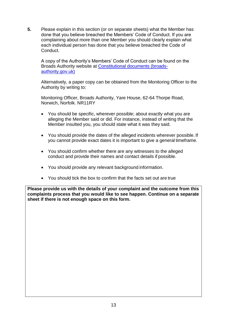**5.** Please explain in this section (or on separate sheets) what the Member has done that you believe breached the Members' Code of Conduct. If you are complaining about more than one Member you should clearly explain what each individual person has done that you believe breached the Code of Conduct.

A copy of the Authority's Members' Code of Conduct can be found on the Broads Authority website at [Constitutional documents \(broads](https://www.broads-authority.gov.uk/about-us/committees/constitutional-documents)[authority.gov.uk\)](https://www.broads-authority.gov.uk/about-us/committees/constitutional-documents)

Alternatively, a paper copy can be obtained from the Monitoring Officer to the Authority by writing to:

Monitoring Officer, Broads Authority, Yare House, 62-64 Thorpe Road, Norwich, Norfolk. NR11RY

- You should be specific, wherever possible; about exactly what you are alleging the Member said or did. For instance, instead of writing that the Member insulted you, you should state what it was they said.
- You should provide the dates of the alleged incidents wherever possible. If you cannot provide exact dates it is important to give a general timeframe.
- You should confirm whether there are any witnesses to the alleged conduct and provide their names and contact details if possible.
- You should provide any relevant background information.
- You should tick the box to confirm that the facts set out are true

**Please provide us with the details of your complaint and the outcome from this complaints process that you would like to see happen. Continue on a separate sheet if there is not enough space on this form.**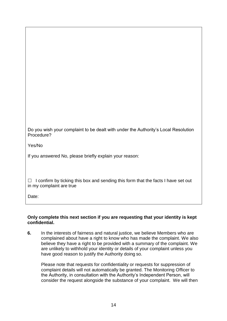| Do you wish your complaint to be dealt with under the Authority's Local Resolution |  |
|------------------------------------------------------------------------------------|--|
| Procedure?                                                                         |  |

Yes/No

If you answered No, please briefly explain your reason:

 $\Box$  I confirm by ticking this box and sending this form that the facts I have set out in my complaint are true

Date:

#### **Only complete this next section if you are requesting that your identity is kept confidential.**

**6.** In the interests of fairness and natural justice, we believe Members who are complained about have a right to know who has made the complaint. We also believe they have a right to be provided with a summary of the complaint. We are unlikely to withhold your identity or details of your complaint unless you have good reason to justify the Authority doing so.

Please note that requests for confidentiality or requests for suppression of complaint details will not automatically be granted. The Monitoring Officer to the Authority, in consultation with the Authority's Independent Person, will consider the request alongside the substance of your complaint. We will then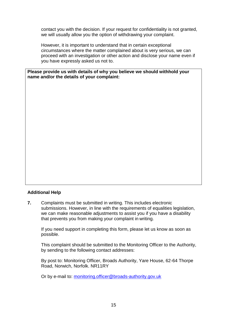contact you with the decision. If your request for confidentiality is not granted, we will usually allow you the option of withdrawing your complaint.

However, it is important to understand that in certain exceptional circumstances where the matter complained about is very serious, we can proceed with an investigation or other action and disclose your name even if you have expressly asked us not to.

**Please provide us with details of why you believe we should withhold your name and/or the details of your complaint:**

#### **Additional Help**

**7.** Complaints must be submitted in writing. This includes electronic submissions. However, in line with the requirements of equalities legislation, we can make reasonable adjustments to assist you if you have a disability that prevents you from making your complaint in writing.

If you need support in completing this form, please let us know as soon as possible.

This complaint should be submitted to the Monitoring Officer to the Authority, by sending to the following contact addresses:

By post to: Monitoring Officer, Broads Authority, Yare House, 62-64 Thorpe Road, Norwich, Norfolk. NR11RY

Or by e-mail to: [monitoring.officer@broads-authority.gov.uk](mailto:monitoring.officer@broads-authority.gov.uk)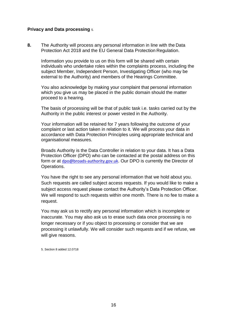#### **Privacy and Data processing** 5.

**8.** The Authority will process any personal information in line with the Data Protection Act 2018 and the EU General Data Protection Regulation.

Information you provide to us on this form will be shared with certain individuals who undertake roles within the complaints process, including the subject Member, Independent Person, Investigating Officer (who may be external to the Authority) and members of the Hearings Committee.

You also acknowledge by making your complaint that personal information which you give us may be placed in the public domain should the matter proceed to a hearing.

The basis of processing will be that of public task i.e. tasks carried out by the Authority in the public interest or power vested in the Authority.

Your information will be retained for 7 years following the outcome of your complaint or last action taken in relation to it. We will process your data in accordance with Data Protection Principles using appropriate technical and organisational measures.

Broads Authority is the Data Controller in relation to your data. It has a Data Protection Officer (DPO) who can be contacted at the postal address on this form or at [dpo@broads-authority.gov.uk](mailto:dpo@broads-authority.gov.uk). Our DPO is currently the Director of Operations.

You have the right to see any personal information that we hold about you. Such requests are called subject access requests. If you would like to make a subject access request please contact the Authority's Data Protection Officer. We will respond to such requests within one month. There is no fee to make a request.

You may ask us to rectify any personal information which is incomplete or inaccurate. You may also ask us to erase such data once processing is no longer necessary or if you object to processing or consider that we are processing it unlawfully. We will consider such requests and if we refuse, we will give reasons.

5. Section 8 added 12.0718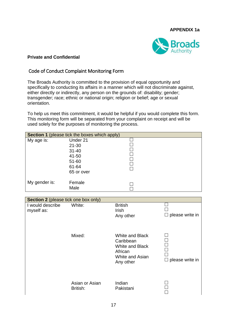#### **APPENDIX 1a**

 $\overline{\phantom{a}}$ 



#### **Private and Confidential**

# <span id="page-16-0"></span>Code of Conduct Complaint Monitoring Form

The Broads Authority is committed to the provision of equal opportunity and specifically to conducting its affairs in a manner which will not discriminate against, either directly or indirectly, any person on the grounds of: disability; gender; transgender; race; ethnic or national origin; religion or belief; age or sexual orientation.

To help us meet this commitment, it would be helpful if you would complete this form. This monitoring form will be separated from your complaint on receipt and will be used solely for the purposes of monitoring the process.

|                                      | Section 1 (please tick the boxes which apply) |                          |                        |
|--------------------------------------|-----------------------------------------------|--------------------------|------------------------|
| My age is:                           | Under 21                                      | $\overline{\phantom{0}}$ |                        |
|                                      | $21 - 30$                                     |                          |                        |
|                                      | $31 - 40$                                     | ┑                        |                        |
|                                      | 41-50                                         | $\overline{\phantom{0}}$ |                        |
|                                      | 51-60                                         | $\Box$                   |                        |
|                                      | 61-64                                         |                          |                        |
|                                      | 65 or over                                    |                          |                        |
| My gender is:                        | Female                                        |                          |                        |
|                                      | Male                                          |                          |                        |
|                                      |                                               |                          |                        |
| Section 2 (please tick one box only) |                                               |                          |                        |
| I would describe                     | White:                                        | <b>British</b>           |                        |
| myself as:                           |                                               | Irish                    |                        |
|                                      |                                               | Any other                | $\Box$ please write in |
|                                      |                                               |                          |                        |
|                                      |                                               |                          |                        |
|                                      | Mixed:                                        | <b>White and Black</b>   |                        |
|                                      |                                               | Caribbean                |                        |
|                                      |                                               | <b>White and Black</b>   |                        |
|                                      |                                               | African                  |                        |
|                                      |                                               | White and Asian          |                        |
|                                      |                                               | Any other                | please write in        |
|                                      |                                               |                          |                        |
|                                      |                                               |                          |                        |
|                                      | Asian or Asian                                | Indian                   |                        |
|                                      | British:                                      | Pakistani                |                        |
|                                      |                                               |                          |                        |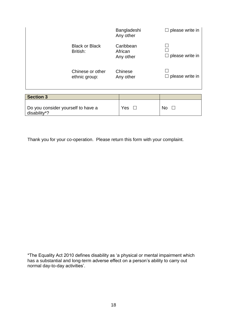|                                    |                                   |                      | Bangladeshi<br>Any other          | $\Box$ please write in |
|------------------------------------|-----------------------------------|----------------------|-----------------------------------|------------------------|
|                                    | <b>Black or Black</b><br>British: |                      | Caribbean<br>African<br>Any other | $\Box$ please write in |
|                                    | Chinese or other<br>ethnic group: | Chinese<br>Any other |                                   | $\Box$ please write in |
| <b>Section 3</b>                   |                                   |                      |                                   |                        |
| Do you consider yourself to have a |                                   |                      | Yes                               | No                     |

Thank you for your co-operation. Please return this form with your complaint.

disability\*?

\*The Equality Act 2010 defines disability as 'a physical or mental impairment which has a substantial and long-term adverse effect on a person's ability to carry out normal day-to-day activities'.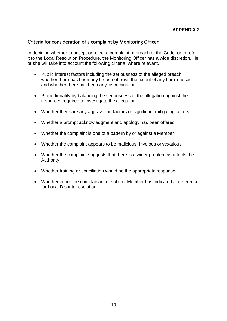# <span id="page-18-0"></span>Criteria for consideration of a complaint by Monitoring Officer

In deciding whether to accept or reject a complaint of breach of the Code, or to refer it to the Local Resolution Procedure, the Monitoring Officer has a wide discretion. He or she will take into account the following criteria, where relevant.

- Public interest factors including the seriousness of the alleged breach, whether there has been any breach of trust, the extent of any harm caused and whether there has been any discrimination.
- Proportionality by balancing the seriousness of the allegation against the resources required to investigate the allegation
- Whether there are any aggravating factors or significant mitigating factors
- Whether a prompt acknowledgment and apology has been offered
- Whether the complaint is one of a pattern by or against a Member
- Whether the complaint appears to be malicious, frivolous or vexatious
- Whether the complaint suggests that there is a wider problem as affects the Authority
- Whether training or conciliation would be the appropriate response
- Whether either the complainant or subject Member has indicated a preference for Local Dispute resolution